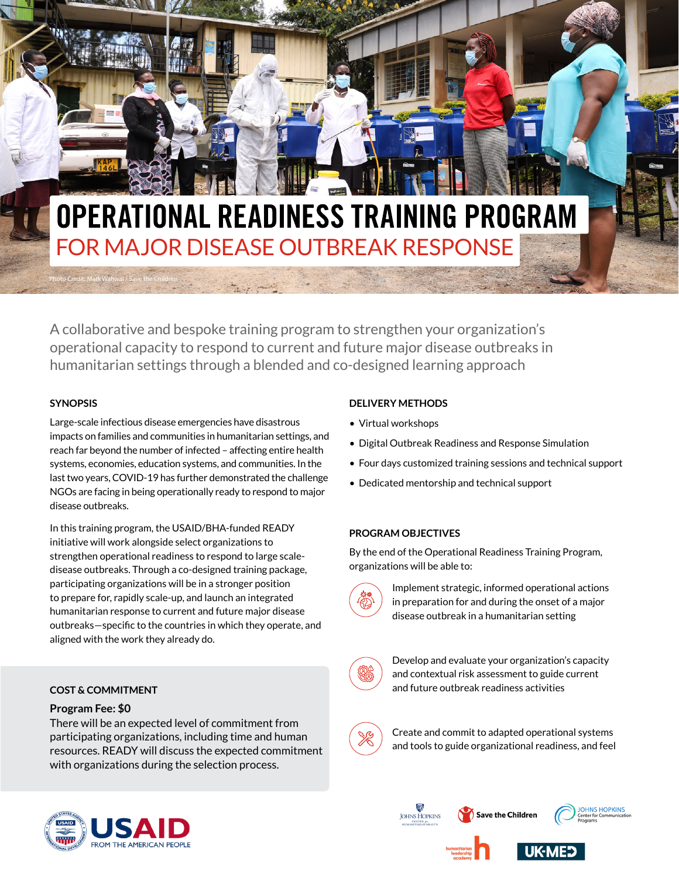# **OPERATIONAL READINESS TRAINING PROGRAM** FOR MAJOR DISEASE OUTBREAK RESPONSE

A collaborative and bespoke training program to strengthen your organization's operational capacity to respond to current and future major disease outbreaks in humanitarian settings through a blended and co-designed learning approach

#### **SYNOPSIS**

Photo Credit: Mark Wahwai / Save the Children

Large-scale infectious disease emergencies have disastrous impacts on families and communities in humanitarian settings, and reach far beyond the number of infected – affecting entire health systems, economies, education systems, and communities. In the last two years, COVID-19 has further demonstrated the challenge NGOs are facing in being operationally ready to respond to major disease outbreaks.

In this training program, the USAID/BHA-funded READY initiative will work alongside select organizations to strengthen operational readiness to respond to large scaledisease outbreaks. Through a co-designed training package, participating organizations will be in a stronger position to prepare for, rapidly scale-up, and launch an integrated humanitarian response to current and future major disease outbreaks—specific to the countries in which they operate, and aligned with the work they already do.

# **COST & COMMITMENT**

#### **Program Fee: \$0**

There will be an expected level of commitment from participating organizations, including time and human resources. READY will discuss the expected commitment with organizations during the selection process.

#### **DELIVERY METHODS**

- Virtual workshops
- Digital Outbreak Readiness and Response Simulation
- Four days customized training sessions and technical support
- Dedicated mentorship and technical support

#### **PROGRAM OBJECTIVES**

By the end of the Operational Readiness Training Program, organizations will be able to:



Implement strategic, informed operational actions in preparation for and during the onset of a major disease outbreak in a humanitarian setting



Develop and evaluate your organization's capacity and contextual risk assessment to guide current and future outbreak readiness activities



Create and commit to adapted operational systems and tools to guide organizational readiness, and feel